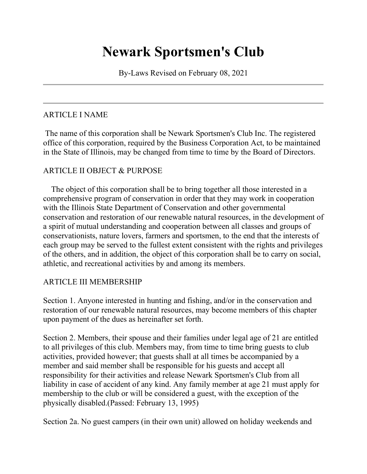# **Newark Sportsmen's Club**

By-Laws Revised on February 08, 2021

## ARTICLE I NAME

The name of this corporation shall be Newark Sportsmen's Club Inc. The registered office of this corporation, required by the Business Corporation Act, to be maintained in the State of Illinois, may be changed from time to time by the Board of Directors.

### ARTICLE II OBJECT & PURPOSE

 The object of this corporation shall be to bring together all those interested in a comprehensive program of conservation in order that they may work in cooperation with the Illinois State Department of Conservation and other governmental conservation and restoration of our renewable natural resources, in the development of a spirit of mutual understanding and cooperation between all classes and groups of conservationists, nature lovers, farmers and sportsmen, to the end that the interests of each group may be served to the fullest extent consistent with the rights and privileges of the others, and in addition, the object of this corporation shall be to carry on social, athletic, and recreational activities by and among its members.

#### ARTICLE III MEMBERSHIP

Section 1. Anyone interested in hunting and fishing, and/or in the conservation and restoration of our renewable natural resources, may become members of this chapter upon payment of the dues as hereinafter set forth.

Section 2. Members, their spouse and their families under legal age of 21 are entitled to all privileges of this club. Members may, from time to time bring guests to club activities, provided however; that guests shall at all times be accompanied by a member and said member shall be responsible for his guests and accept all responsibility for their activities and release Newark Sportsmen's Club from all liability in case of accident of any kind. Any family member at age 21 must apply for membership to the club or will be considered a guest, with the exception of the physically disabled.(Passed: February 13, 1995)

Section 2a. No guest campers (in their own unit) allowed on holiday weekends and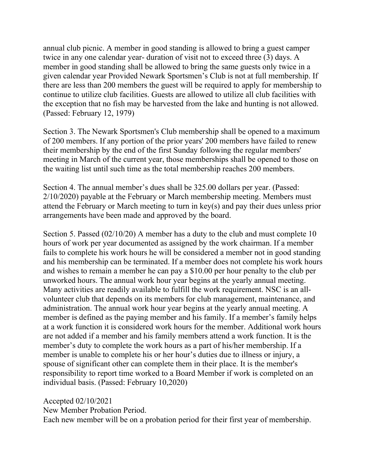annual club picnic. A member in good standing is allowed to bring a guest camper twice in any one calendar year- duration of visit not to exceed three (3) days. A member in good standing shall be allowed to bring the same guests only twice in a given calendar year Provided Newark Sportsmen's Club is not at full membership. If there are less than 200 members the guest will be required to apply for membership to continue to utilize club facilities. Guests are allowed to utilize all club facilities with the exception that no fish may be harvested from the lake and hunting is not allowed. (Passed: February 12, 1979)

Section 3. The Newark Sportsmen's Club membership shall be opened to a maximum of 200 members. If any portion of the prior years' 200 members have failed to renew their membership by the end of the first Sunday following the regular members' meeting in March of the current year, those memberships shall be opened to those on the waiting list until such time as the total membership reaches 200 members.

Section 4. The annual member's dues shall be 325.00 dollars per year. (Passed: 2/10/2020) payable at the February or March membership meeting. Members must attend the February or March meeting to turn in key(s) and pay their dues unless prior arrangements have been made and approved by the board.

Section 5. Passed (02/10/20) A member has a duty to the club and must complete 10 hours of work per year documented as assigned by the work chairman. If a member fails to complete his work hours he will be considered a member not in good standing and his membership can be terminated. If a member does not complete his work hours and wishes to remain a member he can pay a \$10.00 per hour penalty to the club per unworked hours. The annual work hour year begins at the yearly annual meeting. Many activities are readily available to fulfill the work requirement. NSC is an allvolunteer club that depends on its members for club management, maintenance, and administration. The annual work hour year begins at the yearly annual meeting. A member is defined as the paying member and his family. If a member's family helps at a work function it is considered work hours for the member. Additional work hours are not added if a member and his family members attend a work function. It is the member's duty to complete the work hours as a part of his/her membership. If a member is unable to complete his or her hour's duties due to illness or injury, a spouse of significant other can complete them in their place. It is the member's responsibility to report time worked to a Board Member if work is completed on an individual basis. (Passed: February 10,2020)

Accepted 02/10/2021 New Member Probation Period.

Each new member will be on a probation period for their first year of membership.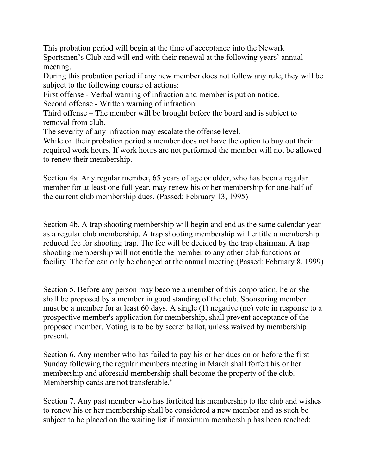This probation period will begin at the time of acceptance into the Newark Sportsmen's Club and will end with their renewal at the following years' annual meeting.

During this probation period if any new member does not follow any rule, they will be subject to the following course of actions:

First offense - Verbal warning of infraction and member is put on notice.

Second offense - Written warning of infraction.

Third offense – The member will be brought before the board and is subject to removal from club.

The severity of any infraction may escalate the offense level.

While on their probation period a member does not have the option to buy out their required work hours. If work hours are not performed the member will not be allowed to renew their membership.

Section 4a. Any regular member, 65 years of age or older, who has been a regular member for at least one full year, may renew his or her membership for one-half of the current club membership dues. (Passed: February 13, 1995)

Section 4b. A trap shooting membership will begin and end as the same calendar year as a regular club membership. A trap shooting membership will entitle a membership reduced fee for shooting trap. The fee will be decided by the trap chairman. A trap shooting membership will not entitle the member to any other club functions or facility. The fee can only be changed at the annual meeting.(Passed: February 8, 1999)

Section 5. Before any person may become a member of this corporation, he or she shall be proposed by a member in good standing of the club. Sponsoring member must be a member for at least 60 days. A single (1) negative (no) vote in response to a prospective member's application for membership, shall prevent acceptance of the proposed member. Voting is to be by secret ballot, unless waived by membership present.

Section 6. Any member who has failed to pay his or her dues on or before the first Sunday following the regular members meeting in March shall forfeit his or her membership and aforesaid membership shall become the property of the club. Membership cards are not transferable."

Section 7. Any past member who has forfeited his membership to the club and wishes to renew his or her membership shall be considered a new member and as such be subject to be placed on the waiting list if maximum membership has been reached;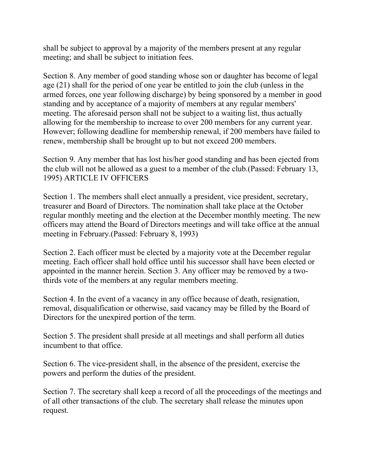shall be subject to approval by a majority of the members present at any regular meeting; and shall be subject to initiation fees.

Section 8. Any member of good standing whose son or daughter has become of legal age (21) shall for the period of one year be entitled to join the club (unless in the armed forces, one year following discharge) by being sponsored by a member in good standing and by acceptance of a majority of members at any regular members' meeting. The aforesaid person shall not be subject to a waiting list, thus actually allowing for the membership to increase to over 200 members for any current year. However; following deadline for membership renewal, if 200 members have failed to renew, membership shall be brought up to but not exceed 200 members.

Section 9. Any member that has lost his/her good standing and has been ejected from the club will not be allowed as a guest to a member of the club.(Passed: February 13, 1995) ARTICLE IV OFFICERS

Section 1. The members shall elect annually a president, vice president, secretary, treasurer and Board of Directors. The nomination shall take place at the October regular monthly meeting and the election at the December monthly meeting. The new officers may attend the Board of Directors meetings and will take office at the annual meeting in February.(Passed: February 8, 1993)

Section 2. Each officer must be elected by a majority vote at the December regular meeting. Each officer shall hold office until his successor shall have been elected or appointed in the manner herein. Section 3. Any officer may be removed by a twothirds vote of the members at any regular members meeting.

Section 4. In the event of a vacancy in any office because of death, resignation, removal, disqualification or otherwise, said vacancy may be filled by the Board of Directors for the unexpired portion of the term.

Section 5. The president shall preside at all meetings and shall perform all duties incumbent to that office.

Section 6. The vice-president shall, in the absence of the president, exercise the powers and perform the duties of the president.

Section 7. The secretary shall keep a record of all the proceedings of the meetings and of all other transactions of the club. The secretary shall release the minutes upon request.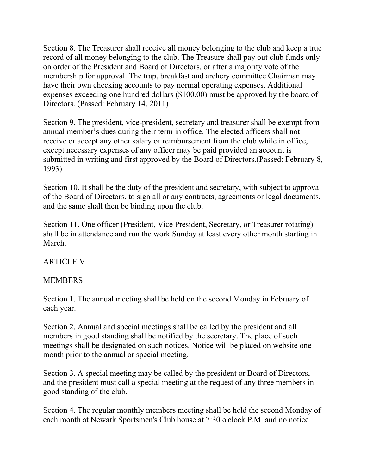Section 8. The Treasurer shall receive all money belonging to the club and keep a true record of all money belonging to the club. The Treasure shall pay out club funds only on order of the President and Board of Directors, or after a majority vote of the membership for approval. The trap, breakfast and archery committee Chairman may have their own checking accounts to pay normal operating expenses. Additional expenses exceeding one hundred dollars (\$100.00) must be approved by the board of Directors. (Passed: February 14, 2011)

Section 9. The president, vice-president, secretary and treasurer shall be exempt from annual member's dues during their term in office. The elected officers shall not receive or accept any other salary or reimbursement from the club while in office, except necessary expenses of any officer may be paid provided an account is submitted in writing and first approved by the Board of Directors.(Passed: February 8, 1993)

Section 10. It shall be the duty of the president and secretary, with subject to approval of the Board of Directors, to sign all or any contracts, agreements or legal documents, and the same shall then be binding upon the club.

Section 11. One officer (President, Vice President, Secretary, or Treasurer rotating) shall be in attendance and run the work Sunday at least every other month starting in March.

ARTICLE V

#### MEMBERS

Section 1. The annual meeting shall be held on the second Monday in February of each year.

Section 2. Annual and special meetings shall be called by the president and all members in good standing shall be notified by the secretary. The place of such meetings shall be designated on such notices. Notice will be placed on website one month prior to the annual or special meeting.

Section 3. A special meeting may be called by the president or Board of Directors, and the president must call a special meeting at the request of any three members in good standing of the club.

Section 4. The regular monthly members meeting shall be held the second Monday of each month at Newark Sportsmen's Club house at 7:30 o'clock P.M. and no notice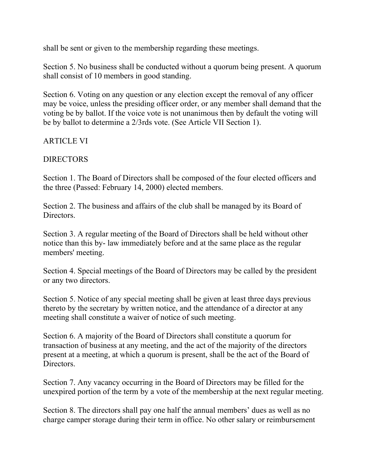shall be sent or given to the membership regarding these meetings.

Section 5. No business shall be conducted without a quorum being present. A quorum shall consist of 10 members in good standing.

Section 6. Voting on any question or any election except the removal of any officer may be voice, unless the presiding officer order, or any member shall demand that the voting be by ballot. If the voice vote is not unanimous then by default the voting will be by ballot to determine a 2/3rds vote. (See Article VII Section 1).

#### ARTICLE VI

#### DIRECTORS

Section 1. The Board of Directors shall be composed of the four elected officers and the three (Passed: February 14, 2000) elected members.

Section 2. The business and affairs of the club shall be managed by its Board of **Directors** 

Section 3. A regular meeting of the Board of Directors shall be held without other notice than this by- law immediately before and at the same place as the regular members' meeting.

Section 4. Special meetings of the Board of Directors may be called by the president or any two directors.

Section 5. Notice of any special meeting shall be given at least three days previous thereto by the secretary by written notice, and the attendance of a director at any meeting shall constitute a waiver of notice of such meeting.

Section 6. A majority of the Board of Directors shall constitute a quorum for transaction of business at any meeting, and the act of the majority of the directors present at a meeting, at which a quorum is present, shall be the act of the Board of **Directors** 

Section 7. Any vacancy occurring in the Board of Directors may be filled for the unexpired portion of the term by a vote of the membership at the next regular meeting.

Section 8. The directors shall pay one half the annual members' dues as well as no charge camper storage during their term in office. No other salary or reimbursement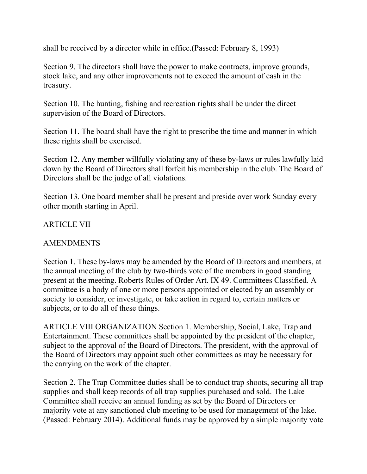shall be received by a director while in office.(Passed: February 8, 1993)

Section 9. The directors shall have the power to make contracts, improve grounds, stock lake, and any other improvements not to exceed the amount of cash in the treasury.

Section 10. The hunting, fishing and recreation rights shall be under the direct supervision of the Board of Directors.

Section 11. The board shall have the right to prescribe the time and manner in which these rights shall be exercised.

Section 12. Any member willfully violating any of these by-laws or rules lawfully laid down by the Board of Directors shall forfeit his membership in the club. The Board of Directors shall be the judge of all violations.

Section 13. One board member shall be present and preside over work Sunday every other month starting in April.

#### ARTICLE VII

#### AMENDMENTS

Section 1. These by-laws may be amended by the Board of Directors and members, at the annual meeting of the club by two-thirds vote of the members in good standing present at the meeting. Roberts Rules of Order Art. IX 49. Committees Classified. A committee is a body of one or more persons appointed or elected by an assembly or society to consider, or investigate, or take action in regard to, certain matters or subjects, or to do all of these things.

ARTICLE VIII ORGANIZATION Section 1. Membership, Social, Lake, Trap and Entertainment. These committees shall be appointed by the president of the chapter, subject to the approval of the Board of Directors. The president, with the approval of the Board of Directors may appoint such other committees as may be necessary for the carrying on the work of the chapter.

Section 2. The Trap Committee duties shall be to conduct trap shoots, securing all trap supplies and shall keep records of all trap supplies purchased and sold. The Lake Committee shall receive an annual funding as set by the Board of Directors or majority vote at any sanctioned club meeting to be used for management of the lake. (Passed: February 2014). Additional funds may be approved by a simple majority vote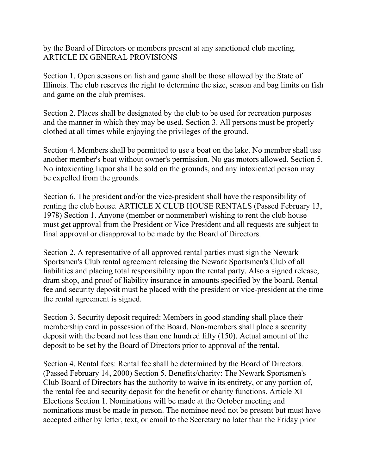by the Board of Directors or members present at any sanctioned club meeting. ARTICLE IX GENERAL PROVISIONS

Section 1. Open seasons on fish and game shall be those allowed by the State of Illinois. The club reserves the right to determine the size, season and bag limits on fish and game on the club premises.

Section 2. Places shall be designated by the club to be used for recreation purposes and the manner in which they may be used. Section 3. All persons must be properly clothed at all times while enjoying the privileges of the ground.

Section 4. Members shall be permitted to use a boat on the lake. No member shall use another member's boat without owner's permission. No gas motors allowed. Section 5. No intoxicating liquor shall be sold on the grounds, and any intoxicated person may be expelled from the grounds.

Section 6. The president and/or the vice-president shall have the responsibility of renting the club house. ARTICLE X CLUB HOUSE RENTALS (Passed February 13, 1978) Section 1. Anyone (member or nonmember) wishing to rent the club house must get approval from the President or Vice President and all requests are subject to final approval or disapproval to be made by the Board of Directors.

Section 2. A representative of all approved rental parties must sign the Newark Sportsmen's Club rental agreement releasing the Newark Sportsmen's Club of all liabilities and placing total responsibility upon the rental party. Also a signed release, dram shop, and proof of liability insurance in amounts specified by the board. Rental fee and security deposit must be placed with the president or vice-president at the time the rental agreement is signed.

Section 3. Security deposit required: Members in good standing shall place their membership card in possession of the Board. Non-members shall place a security deposit with the board not less than one hundred fifty (150). Actual amount of the deposit to be set by the Board of Directors prior to approval of the rental.

Section 4. Rental fees: Rental fee shall be determined by the Board of Directors. (Passed February 14, 2000) Section 5. Benefits/charity: The Newark Sportsmen's Club Board of Directors has the authority to waive in its entirety, or any portion of, the rental fee and security deposit for the benefit or charity functions. Article XI Elections Section 1. Nominations will be made at the October meeting and nominations must be made in person. The nominee need not be present but must have accepted either by letter, text, or email to the Secretary no later than the Friday prior